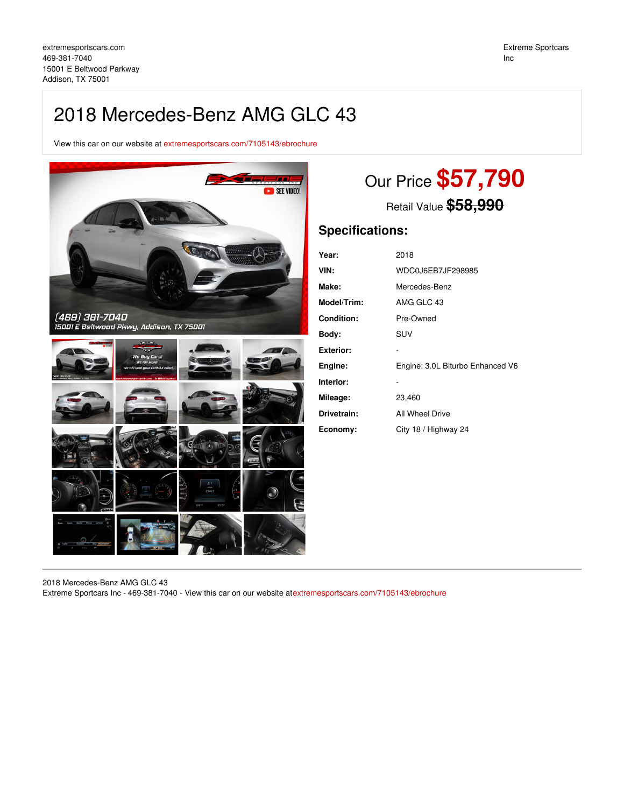## 2018 Mercedes-Benz AMG GLC 43

View this car on our website at [extremesportscars.com/7105143/ebrochure](https://extremesportscars.com/vehicle/7105143/2018-mercedes-benz-amg-glc-43-addison-tx-75001/7105143/ebrochure)



# Our Price **\$57,790**

Retail Value **\$58,990**

### **Specifications:**

| Year:              | 2018                             |
|--------------------|----------------------------------|
| VIN:               | WDC0J6EB7JF298985                |
| Make:              | Mercedes-Benz                    |
| <b>Model/Trim:</b> | AMG GLC 43                       |
| <b>Condition:</b>  | Pre-Owned                        |
| Body:              | SUV                              |
| Exterior:          |                                  |
| Engine:            | Engine: 3.0L Biturbo Enhanced V6 |
| Interior:          |                                  |
| Mileage:           | 23,460                           |
| Drivetrain:        | All Wheel Drive                  |
| Economy:           | City 18 / Highway 24             |

2018 Mercedes-Benz AMG GLC 43 Extreme Sportcars Inc - 469-381-7040 - View this car on our website at[extremesportscars.com/7105143/ebrochure](https://extremesportscars.com/vehicle/7105143/2018-mercedes-benz-amg-glc-43-addison-tx-75001/7105143/ebrochure)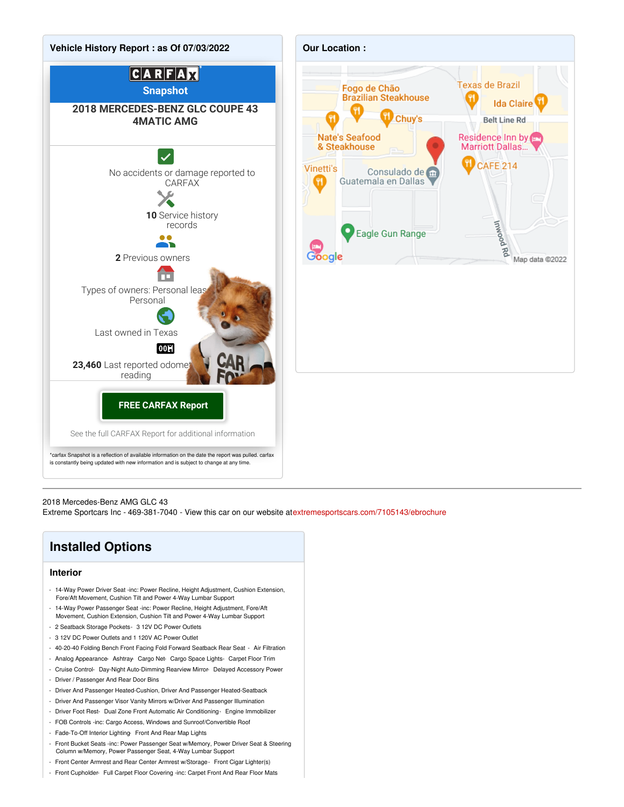

#### 2018 Mercedes-Benz AMG GLC 43

Extreme Sportcars Inc - 469-381-7040 - View this car on our website at[extremesportscars.com/7105143/ebrochure](https://extremesportscars.com/vehicle/7105143/2018-mercedes-benz-amg-glc-43-addison-tx-75001/7105143/ebrochure)

## **Installed Options**

#### **Interior**

- 14-Way Power Driver Seat -inc: Power Recline, Height Adjustment, Cushion Extension, Fore/Aft Movement, Cushion Tilt and Power 4-Way Lumbar Support
- 14-Way Power Passenger Seat -inc: Power Recline, Height Adjustment, Fore/Aft Movement, Cushion Extension, Cushion Tilt and Power 4-Way Lumbar Support
- 2 Seatback Storage Pockets- 3 12V DC Power Outlets
- 3 12V DC Power Outlets and 1 120V AC Power Outlet
- 40-20-40 Folding Bench Front Facing Fold Forward Seatback Rear Seat Air Filtration
- Analog Appearance- Ashtray- Cargo Net- Cargo Space Lights- Carpet Floor Trim
- Cruise Control- Day-Night Auto-Dimming Rearview Mirror- Delayed Accessory Power
- Driver / Passenger And Rear Door Bins
- Driver And Passenger Heated-Cushion, Driver And Passenger Heated-Seatback
- Driver And Passenger Visor Vanity Mirrors w/Driver And Passenger Illumination
- Driver Foot Rest- Dual Zone Front Automatic Air Conditioning- Engine Immobilizer
- FOB Controls -inc: Cargo Access, Windows and Sunroof/Convertible Roof
- Fade-To-Off Interior Lighting- Front And Rear Map Lights
- Front Bucket Seats -inc: Power Passenger Seat w/Memory, Power Driver Seat & Steering Column w/Memory, Power Passenger Seat, 4-Way Lumbar Support
- Front Center Armrest and Rear Center Armrest w/Storage- Front Cigar Lighter(s)
- Front Cupholder- Full Carpet Floor Covering -inc: Carpet Front And Rear Floor Mats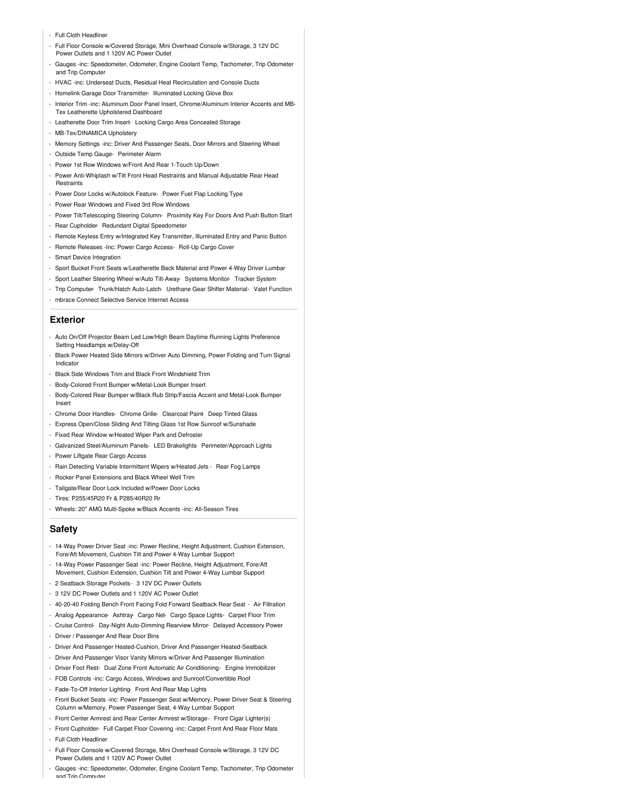- Full Cloth Headliner
- Full Floor Console w/Covered Storage, Mini Overhead Console w/Storage, 3 12V DC Power Outlets and 1 120V AC Power Outlet
- Gauges -inc: Speedometer, Odometer, Engine Coolant Temp, Tachometer, Trip Odometer and Trip Computer
- HVAC -inc: Underseat Ducts, Residual Heat Recirculation and Console Ducts
- Homelink Garage Door Transmitter- Illuminated Locking Glove Box
- Interior Trim -inc: Aluminum Door Panel Insert, Chrome/Aluminum Interior Accents and MB-Tex Leatherette Upholstered Dashboard
- Leatherette Door Trim Insert- Locking Cargo Area Concealed Storage
- MB-Tex/DINAMICA Upholstery
- Memory Settings -inc: Driver And Passenger Seats, Door Mirrors and Steering Wheel
- Outside Temp Gauge- Perimeter Alarm
- Power 1st Row Windows w/Front And Rear 1-Touch Up/Down
- Power Anti-Whiplash w/Tilt Front Head Restraints and Manual Adjustable Rear Head Restraints
- Power Door Locks w/Autolock Feature- Power Fuel Flap Locking Type
- Power Rear Windows and Fixed 3rd Row Windows
- Power Tilt/Telescoping Steering Column- Proximity Key For Doors And Push Button Start
- Rear Cupholder- Redundant Digital Speedometer
- Remote Keyless Entry w/Integrated Key Transmitter, Illuminated Entry and Panic Button
- Remote Releases -Inc: Power Cargo Access- Roll-Up Cargo Cover
- Smart Device Integration
- Sport Bucket Front Seats w/Leatherette Back Material and Power 4-Way Driver Lumbar
- Sport Leather Steering Wheel w/Auto Tilt-Away- Systems Monitor- Tracker System
- Trip Computer- Trunk/Hatch Auto-Latch- Urethane Gear Shifter Material- Valet Function
- mbrace Connect Selective Service Internet Access

#### **Exterior**

- Auto On/Off Projector Beam Led Low/High Beam Daytime Running Lights Preference Setting Headlamps w/Delay-Off
- Black Power Heated Side Mirrors w/Driver Auto Dimming, Power Folding and Turn Signal Indicator
- Black Side Windows Trim and Black Front Windshield Trim
- Body-Colored Front Bumper w/Metal-Look Bumper Insert
- Body-Colored Rear Bumper w/Black Rub Strip/Fascia Accent and Metal-Look Bumper Insert
- Chrome Door Handles- Chrome Grille- Clearcoat Paint- Deep Tinted Glass
- Express Open/Close Sliding And Tilting Glass 1st Row Sunroof w/Sunshade
- Fixed Rear Window w/Heated Wiper Park and Defroster
- Galvanized Steel/Aluminum Panels- LED Brakelights- Perimeter/Approach Lights
- Power Liftgate Rear Cargo Access
- Rain Detecting Variable Intermittent Wipers w/Heated Jets Rear Fog Lamps
- Rocker Panel Extensions and Black Wheel Well Trim
- Tailgate/Rear Door Lock Included w/Power Door Locks
- Tires: P255/45R20 Fr & P285/40R20 Rr
- Wheels: 20" AMG Multi-Spoke w/Black Accents -inc: All-Season Tires

#### **Safety**

- 14-Way Power Driver Seat -inc: Power Recline, Height Adjustment, Cushion Extension, Fore/Aft Movement, Cushion Tilt and Power 4-Way Lumbar Support
- 14-Way Power Passenger Seat -inc: Power Recline, Height Adjustment, Fore/Aft
- Movement, Cushion Extension, Cushion Tilt and Power 4-Way Lumbar Support
- 2 Seatback Storage Pockets- 3 12V DC Power Outlets
- 3 12V DC Power Outlets and 1 120V AC Power Outlet
- 40-20-40 Folding Bench Front Facing Fold Forward Seatback Rear Seat Air Filtration
- Analog Appearance- Ashtray- Cargo Net- Cargo Space Lights- Carpet Floor Trim
- Cruise Control- Day-Night Auto-Dimming Rearview Mirror- Delayed Accessory Power - Driver / Passenger And Rear Door Bins
- 
- Driver And Passenger Heated-Cushion, Driver And Passenger Heated-Seatback
- Driver And Passenger Visor Vanity Mirrors w/Driver And Passenger Illumination - Driver Foot Rest- Dual Zone Front Automatic Air Conditioning- Engine Immobilizer
- 
- FOB Controls -inc: Cargo Access, Windows and Sunroof/Convertible Roof
- Fade-To-Off Interior Lighting- Front And Rear Map Lights
- Front Bucket Seats -inc: Power Passenger Seat w/Memory, Power Driver Seat & Steering Column w/Memory, Power Passenger Seat, 4-Way Lumbar Support
- Front Center Armrest and Rear Center Armrest w/Storage Front Cigar Lighter(s)
- Front Cupholder- Full Carpet Floor Covering -inc: Carpet Front And Rear Floor Mats - Full Cloth Headliner
- Full Floor Console w/Covered Storage, Mini Overhead Console w/Storage, 3 12V DC Power Outlets and 1 120V AC Power Outlet
- Gauges -inc: Speedometer, Odometer, Engine Coolant Temp, Tachometer, Trip Odometer and Trin Computer